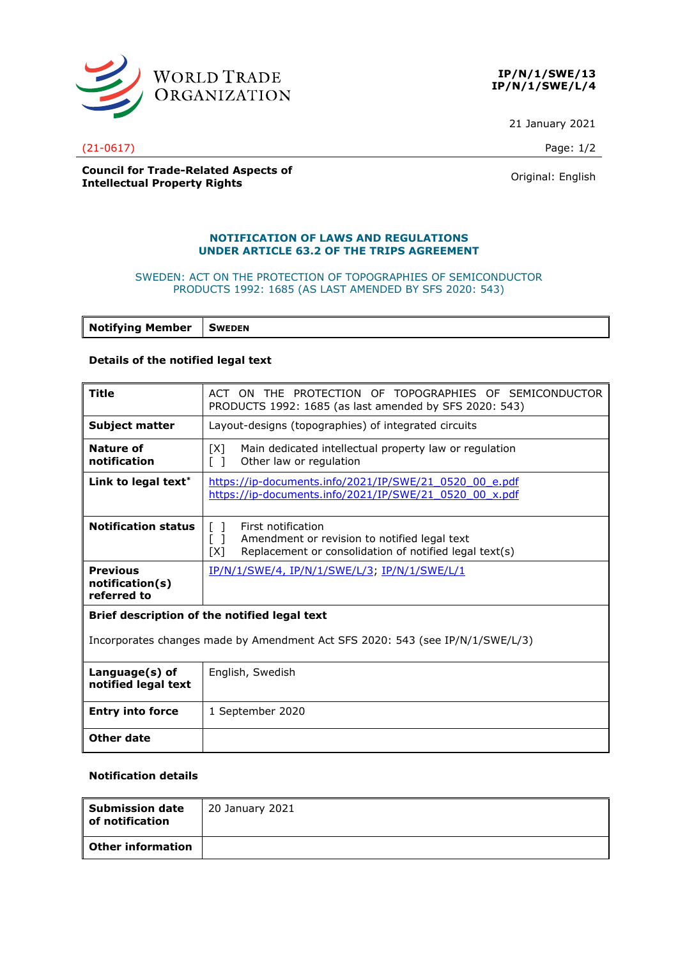

**IP/N/1/SWE/13 IP/N/1/SWE/L/4**

21 January 2021

(21-0617) Page: 1/2

### **Council for Trade-Related Aspects of Intellectual Property Rights Council Property Rights Council Property Rights Original:** English

## **NOTIFICATION OF LAWS AND REGULATIONS UNDER ARTICLE 63.2 OF THE TRIPS AGREEMENT**

#### SWEDEN: ACT ON THE PROTECTION OF TOPOGRAPHIES OF SEMICONDUCTOR PRODUCTS 1992: 1685 (AS LAST AMENDED BY SFS 2020: 543)

**Notifying Member SWEDEN**

## **Details of the notified legal text**

| <b>Title</b>                                                                  | TOPOGRAPHIES OF SEMICONDUCTOR<br>ACT ON THE PROTECTION OF                                                                                                                                |
|-------------------------------------------------------------------------------|------------------------------------------------------------------------------------------------------------------------------------------------------------------------------------------|
|                                                                               | PRODUCTS 1992: 1685 (as last amended by SFS 2020: 543)                                                                                                                                   |
| <b>Subject matter</b>                                                         | Layout-designs (topographies) of integrated circuits                                                                                                                                     |
| Nature of<br>notification                                                     | [X]<br>Main dedicated intellectual property law or regulation<br>Other law or regulation<br>$\Box$                                                                                       |
| Link to legal text*                                                           | https://ip-documents.info/2021/IP/SWE/21_0520_00_e.pdf<br>https://ip-documents.info/2021/IP/SWE/21 0520 00 x.pdf                                                                         |
| <b>Notification status</b>                                                    | First notification<br>$\mathbf{L}$<br>Amendment or revision to notified legal text<br>$\begin{bmatrix} 1 \end{bmatrix}$<br>Replacement or consolidation of notified legal text(s)<br>[X] |
| <b>Previous</b><br>notification(s)<br>referred to                             | IP/N/1/SWE/4, IP/N/1/SWE/L/3, IP/N/1/SWE/L/1                                                                                                                                             |
| Brief description of the notified legal text                                  |                                                                                                                                                                                          |
| Incorporates changes made by Amendment Act SFS 2020: 543 (see IP/N/1/SWE/L/3) |                                                                                                                                                                                          |
| Language(s) of<br>notified legal text                                         | English, Swedish                                                                                                                                                                         |
| <b>Entry into force</b>                                                       | 1 September 2020                                                                                                                                                                         |

#### **Notification details**

**Other date**

| $\boldsymbol{\mathsf{I}}$ Submission date<br>l of notification | 20 January 2021 |
|----------------------------------------------------------------|-----------------|
| l Other information                                            |                 |